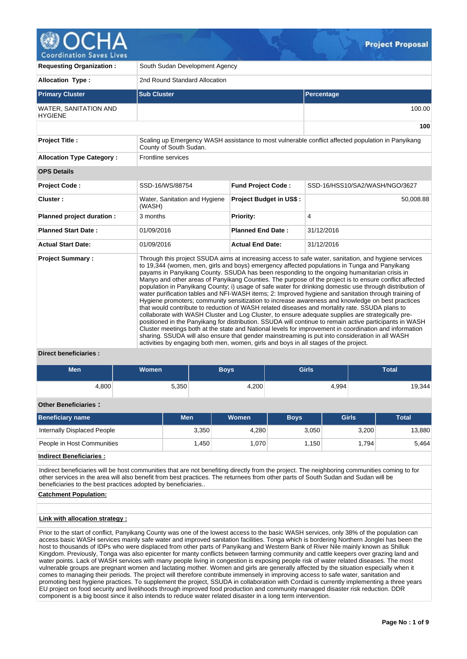

**Requesting Organization : South Sudan Development Agency Allocation Type :** 2nd Round Standard Allocation **Primary Cluster Sub Cluster Sub Cluster** Sub Cluster Sub Cluster Sub Cluster Sub Cluster Sub Cluster Sub Cluster WATER, SANITATION AND **HYGIENE** 100.00 **100 Project Title :** Scaling up Emergency WASH assistance to most vulnerable conflict affected population in Panyikang County of South Sudan. **Allocation Type Category :** Frontline services **OPS Details Project Code :** SSD-16/WS/88754 **Fund Project Code :** SSD-16/HSS10/SA2/WASH/NGO/3627 **Cluster :** Water, Sanitation and Hygiene (WASH) **Project Budget in US\$ :** 50,008.88 **Planned project duration :**  $\begin{array}{|c|c|c|} \hline 3 & \text{months} \end{array}$  **Priority:**  $\begin{array}{|c|c|c|c|} \hline \end{array}$ **Planned Start Date :** 01/09/2016 **Planned End Date :** 31/12/2016 **Actual Start Date:** 01/09/2016 **Actual End Date:** 31/12/2016 **Project Summary :** Through this project SSUDA aims at increasing access to safe water, sanitation, and hygiene services to 19,344 (women, men, girls and boys) emergency affected populations in Tunga and Panyikang payams in Panyikang County. SSUDA has been responding to the ongoing humanitarian crisis in Manyo and other areas of Panyikang Counties. The purpose of the project is to ensure conflict affected population in Panyikang County; i) usage of safe water for drinking domestic use through distribution of water purification tables and NFI-WASH items; 2: Improved hygiene and sanitation through training of Hygiene promoters; community sensitization to increase awareness and knowledge on best practices that would contribute to reduction of WASH related diseases and mortality rate. SSUDA plans to collaborate with WASH Cluster and Log Cluster, to ensure adequate supplies are strategically pre-

positioned in the Panyikang for distribution. SSUDA will continue to remain active participants in WASH Cluster meetings both at the state and National levels for improvement in coordination and information sharing. SSUDA will also ensure that gender mainstreaming is put into consideration in all WASH activities by engaging both men, women, girls and boys in all stages of the project.

### **Direct beneficiaries :**

| <b>Men</b> | <b>Women</b> | <b>Boys</b> | Girls | <b>Total</b> |
|------------|--------------|-------------|-------|--------------|
| 4,800      | 5,350        | 4,200       | 4,994 | 19,344       |

# **Other Beneficiaries :**

| Beneficiary name            | <b>Men</b> | <b>Women</b> | <b>Boys</b> | <b>Girls</b> | <b>Total</b> |
|-----------------------------|------------|--------------|-------------|--------------|--------------|
| Internally Displaced People | 3.350      | 4.280        | 3.050       | 3.200        | 13,880       |
| People in Host Communities  | .450       | 1.070        | 1.150       | 1.794        | 5.464        |

## **Indirect Beneficiaries :**

Indirect beneficiaries will be host communities that are not benefiting directly from the project. The neighboring communities coming to for other services in the area will also benefit from best practices. The returnees from other parts of South Sudan and Sudan will be beneficiaries to the best practices adopted by beneficiaries..

### **Catchment Population:**

## **Link with allocation strategy :**

Prior to the start of conflict, Panyikang County was one of the lowest access to the basic WASH services, only 38% of the population can access basic WASH services mainly safe water and improved sanitation facilities. Tonga which is bordering Northern Jonglei has been the host to thousands of IDPs who were displaced from other parts of Panyikang and Western Bank of River Nile mainly known as Shilluk Kingdom. Previously, Tonga was also epicenter for manty conflicts between farming community and cattle keepers over grazing land and water points. Lack of WASH services with many people living in congestion is exposing people risk of water related diseases. The most vulnerable groups are pregnant women and lactating mother. Women and girls are generally affected by the situation especially when it comes to managing their periods. The project will therefore contribute immensely in improving access to safe water, sanitation and promoting best hygiene practices. To supplement the project, SSUDA in collaboration with Cordaid is currently implementing a three years EU project on food security and livelihoods through improved food production and community managed disaster risk reduction. DDR component is a big boost since it also intends to reduce water related disaster in a long term intervention.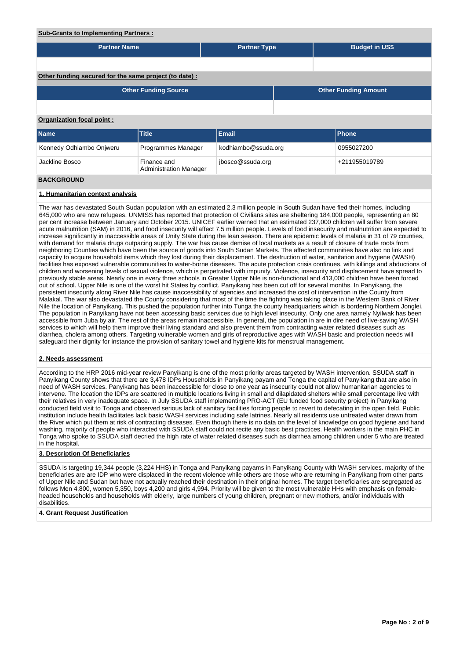### **Sub-Grants to Implementing Partners :**

| <b>Partner Name</b>                                    |                                              | <b>Partner Type</b> |  | <b>Budget in US\$</b>       |  |  |  |  |  |
|--------------------------------------------------------|----------------------------------------------|---------------------|--|-----------------------------|--|--|--|--|--|
|                                                        |                                              |                     |  |                             |  |  |  |  |  |
| Other funding secured for the same project (to date) : |                                              |                     |  |                             |  |  |  |  |  |
|                                                        | <b>Other Funding Source</b>                  |                     |  | <b>Other Funding Amount</b> |  |  |  |  |  |
|                                                        |                                              |                     |  |                             |  |  |  |  |  |
| <b>Organization focal point:</b>                       |                                              |                     |  |                             |  |  |  |  |  |
| Name                                                   | Title                                        | Email               |  | Phone                       |  |  |  |  |  |
| Kennedy Odhiambo Onjweru                               | Programmes Manager                           | kodhiambo@ssuda.org |  | 0955027200                  |  |  |  |  |  |
| Jackline Bosco                                         | Finance and<br><b>Administration Manager</b> | jbosco@ssuda.org    |  | +211955019789               |  |  |  |  |  |
| <b>BACKGROUND</b>                                      |                                              |                     |  |                             |  |  |  |  |  |

# **1. Humanitarian context analysis**

The war has devastated South Sudan population with an estimated 2.3 million people in South Sudan have fled their homes, including 645,000 who are now refugees. UNMISS has reported that protection of Civilians sites are sheltering 184,000 people, representing an 80 per cent increase between January and October 2015. UNICEF earlier warned that an estimated 237,000 children will suffer from severe acute malnutrition (SAM) in 2016, and food insecurity will affect 7.5 million people. Levels of food insecurity and malnutrition are expected to increase significantly in inaccessible areas of Unity State during the lean season. There are epidemic levels of malaria in 31 of 79 counties, with demand for malaria drugs outpacing supply. The war has cause demise of local markets as a result of closure of trade roots from neighboring Counties which have been the source of goods into South Sudan Markets. The affected communities have also no link and capacity to acquire household items which they lost during their displacement. The destruction of water, sanitation and hygiene (WASH) facilities has exposed vulnerable communities to water-borne diseases. The acute protection crisis continues, with killings and abductions of children and worsening levels of sexual violence, which is perpetrated with impunity. Violence, insecurity and displacement have spread to previously stable areas. Nearly one in every three schools in Greater Upper Nile is non-functional and 413,000 children have been forced out of school. Upper Nile is one of the worst hit States by conflict. Panyikang has been cut off for several months. In Panyikang, the persistent insecurity along River Nile has cause inaccessibility of agencies and increased the cost of intervention in the County from Malakal. The war also devastated the County considering that most of the time the fighting was taking place in the Western Bank of River Nile the location of Panyikang. This pushed the population further into Tunga the county headquarters which is bordering Northern Jonglei. The population in Panyikang have not been accessing basic services due to high level insecurity. Only one area namely Nyilwak has been accessible from Juba by air. The rest of the areas remain inaccessible. In general, the population in are in dire need of live-saving WASH services to which will help them improve their living standard and also prevent them from contracting water related diseases such as diarrhea, cholera among others. Targeting vulnerable women and girls of reproductive ages with WASH basic and protection needs will safeguard their dignity for instance the provision of sanitary towel and hygiene kits for menstrual management.

## **2. Needs assessment**

According to the HRP 2016 mid-year review Panyikang is one of the most priority areas targeted by WASH intervention. SSUDA staff in Panyikang County shows that there are 3,478 IDPs Households in Panyikang payam and Tonga the capital of Panyikang that are also in need of WASH services. Panyikang has been inaccessible for close to one year as insecurity could not allow humanitarian agencies to intervene. The location the IDPs are scattered in multiple locations living in small and dilapidated shelters while small percentage live with their relatives in very inadequate space. In July SSUDA staff implementing PRO-ACT (EU funded food security project) in Panyikang conducted field visit to Tonga and observed serious lack of sanitary facilities forcing people to revert to defecating in the open field. Public institution include health facilitates lack basic WASH services including safe latrines. Nearly all residents use untreated water drawn from the River which put them at risk of contracting diseases. Even though there is no data on the level of knowledge on good hygiene and hand washing, majority of people who interacted with SSUDA staff could not recite any basic best practices. Health workers in the main PHC in Tonga who spoke to SSUDA staff decried the high rate of water related diseases such as diarrhea among children under 5 who are treated in the hospital.

#### **3. Description Of Beneficiaries**

SSUDA is targeting 19,344 people (3,224 HHS) in Tonga and Panyikang payams in Panyikang County with WASH services. majority of the beneficiaries are are IDP who were displaced in the recent violence while others are those who are returning in Panyikang from other parts of Upper Nile and Sudan but have not actually reached their destination in their original homes. The target beneficiaries are segregated as follows Men 4,800, women 5,350, boys 4,200 and girls 4,994. Priority will be given to the most vulnerable HHs with emphasis on femaleheaded households and households with elderly, large numbers of young children, pregnant or new mothers, and/or individuals with disabilities.

#### **4. Grant Request Justification**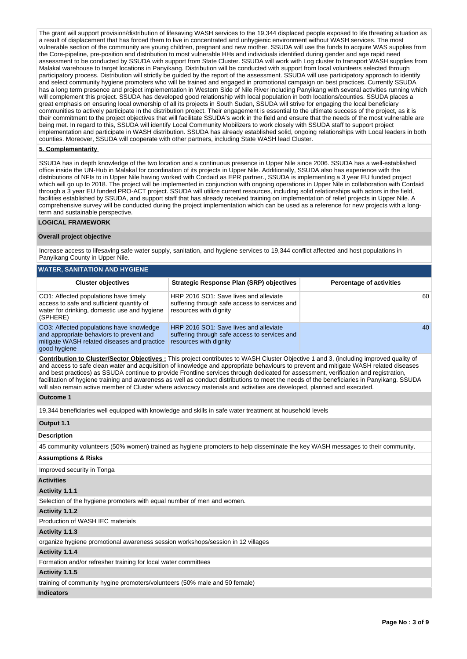The grant will support provision/distribution of lifesaving WASH services to the 19,344 displaced people exposed to life threating situation as a result of displacement that has forced them to live in concentrated and unhygienic environment without WASH services. The most vulnerable section of the community are young children, pregnant and new mother. SSUDA will use the funds to acquire WAS supplies from the Core-pipeline, pre-position and distribution to most vulnerable HHs and individuals identified during gender and age rapid need assessment to be conducted by SSUDA with support from State Cluster. SSUDA will work with Log cluster to transport WASH supplies from Malakal warehouse to target locations in Panyikang. Distribution will be conducted with support from local volunteers selected through participatory process. Distribution will strictly be guided by the report of the assessment. SSUDA will use participatory approach to identify and select community hygiene promoters who will be trained and engaged in promotional campaign on best practices. Currently SSUDA has a long term presence and project implementation in Western Side of Nile River including Panyikang with several activities running which will complement this project. SSUDA has developed good relationship with local population in both locations/counties. SSUDA places a great emphasis on ensuring local ownership of all its projects in South Sudan, SSUDA will strive for engaging the local beneficiary communities to actively participate in the distribution project. Their engagement is essential to the ultimate success of the project, as it is their commitment to the project objectives that will facilitate SSUDA's work in the field and ensure that the needs of the most vulnerable are being met. In regard to this, SSUDA will identify Local Community Mobilizers to work closely with SSUDA staff to support project implementation and participate in WASH distribution. SSUDA has already established solid, ongoing relationships with Local leaders in both counties. Moreover, SSUDA will cooperate with other partners, including State WASH lead Cluster.

### **5. Complementarity**

SSUDA has in depth knowledge of the two location and a continuous presence in Upper Nile since 2006. SSUDA has a well-established office inside the UN-Hub in Malakal for coordination of its projects in Upper Nile. Additionally, SSUDA also has experience with the distributions of NFIs to in Upper Nile having worked with Cordaid as EPR partner., SSUDA is implementing a 3 year EU funded project which will go up to 2018. The project will be implemented in conjunction with ongoing operations in Upper Nile in collaboration with Cordaid through a 3 year EU funded PRO-ACT project. SSUDA will utilize current resources, including solid relationships with actors in the field, facilities established by SSUDA, and support staff that has already received training on implementation of relief projects in Upper Nile. A comprehensive survey will be conducted during the project implementation which can be used as a reference for new projects with a longterm and sustainable perspective.

### **LOGICAL FRAMEWORK**

#### **Overall project objective**

Increase access to lifesaving safe water supply, sanitation, and hygiene services to 19,344 conflict affected and host populations in Panyikang County in Upper Nile.

| <b>WATER, SANITATION AND HYGIENE</b>                                                                                                                |                                                                                                                   |                                 |  |  |  |  |  |  |  |  |
|-----------------------------------------------------------------------------------------------------------------------------------------------------|-------------------------------------------------------------------------------------------------------------------|---------------------------------|--|--|--|--|--|--|--|--|
| <b>Cluster objectives</b>                                                                                                                           | Strategic Response Plan (SRP) objectives                                                                          | <b>Percentage of activities</b> |  |  |  |  |  |  |  |  |
| CO1: Affected populations have timely<br>access to safe and sufficient quantity of<br>water for drinking, domestic use and hygiene<br>(SPHERE)      | HRP 2016 SO1: Save lives and alleviate<br>suffering through safe access to services and<br>resources with dignity | 60                              |  |  |  |  |  |  |  |  |
| CO3: Affected populations have knowledge<br>and appropriate behaviors to prevent and<br>mitigate WASH related diseases and practice<br>good hygiene | HRP 2016 SO1: Save lives and alleviate<br>suffering through safe access to services and<br>resources with dignity | 40                              |  |  |  |  |  |  |  |  |

**Contribution to Cluster/Sector Objectives :** This project contributes to WASH Cluster Objective 1 and 3, (including improved quality of and access to safe clean water and acquisition of knowledge and appropriate behaviours to prevent and mitigate WASH related diseases and best practices) as SSUDA continue to provide Frontline services through dedicated for assessment, verification and registration, facilitation of hygiene training and awareness as well as conduct distributions to meet the needs of the beneficiaries in Panyikang. SSUDA will also remain active member of Cluster where advocacy materials and activities are developed, planned and executed.

#### **Outcome 1**

19,344 beneficiaries well equipped with knowledge and skills in safe water treatment at household levels

#### **Output 1.1**

**Description**

|  |  |  |  |  | 45 community volunteers (50% women) trained as hygiene promoters to help disseminate the key WASH messages to their community. |  |
|--|--|--|--|--|--------------------------------------------------------------------------------------------------------------------------------|--|
|  |  |  |  |  |                                                                                                                                |  |

## **Assumptions & Risks**

Improved security in Tonga

## **Activities**

**Activity 1.1.1** 

Selection of the hygiene promoters with equal number of men and women.

### **Activity 1.1.2**

Production of WASH IEC materials

#### **Activity 1.1.3**

organize hygiene promotional awareness session workshops/session in 12 villages

### **Activity 1.1.4**

Formation and/or refresher training for local water committees

### **Activity 1.1.5**

training of community hygine promoters/volunteers (50% male and 50 female)

#### **Indicators**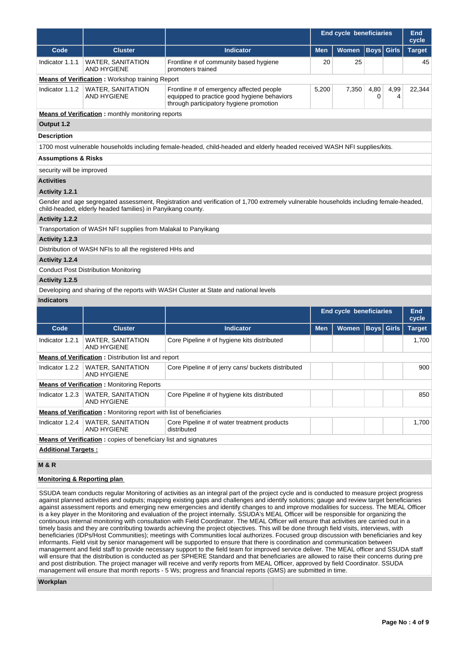|                                                                                                                                                                                                      |                                                                                               |                                                                                                                                    | End cycle beneficiaries |                                |             |              | End<br>cycle  |  |  |  |
|------------------------------------------------------------------------------------------------------------------------------------------------------------------------------------------------------|-----------------------------------------------------------------------------------------------|------------------------------------------------------------------------------------------------------------------------------------|-------------------------|--------------------------------|-------------|--------------|---------------|--|--|--|
| Code                                                                                                                                                                                                 | <b>Cluster</b>                                                                                | <b>Indicator</b>                                                                                                                   | <b>Men</b>              | <b>Women</b>                   | Boys        | <b>Girls</b> | <b>Target</b> |  |  |  |
| Indicator 1.1.1                                                                                                                                                                                      | <b>WATER, SANITATION</b><br><b>AND HYGIENE</b>                                                | Frontline # of community based hygiene<br>promoters trained                                                                        | 20                      | 25                             |             |              | 45            |  |  |  |
|                                                                                                                                                                                                      | <b>Means of Verification:</b> Workshop training Report                                        |                                                                                                                                    |                         |                                |             |              |               |  |  |  |
| Indicator 1.1.2                                                                                                                                                                                      | <b>WATER, SANITATION</b><br><b>AND HYGIENE</b>                                                | Frontline # of emergency affected people<br>equipped to practice good hygiene behaviors<br>through participatory hygiene promotion | 5,200                   | 7,350                          | 4,80<br>0   | 4,99<br>4    | 22,344        |  |  |  |
|                                                                                                                                                                                                      | <b>Means of Verification:</b> monthly monitoring reports                                      |                                                                                                                                    |                         |                                |             |              |               |  |  |  |
| Output 1.2                                                                                                                                                                                           |                                                                                               |                                                                                                                                    |                         |                                |             |              |               |  |  |  |
| <b>Description</b>                                                                                                                                                                                   |                                                                                               |                                                                                                                                    |                         |                                |             |              |               |  |  |  |
|                                                                                                                                                                                                      |                                                                                               | 1700 most vulnerable households including female-headed, child-headed and elderly headed received WASH NFI supplies/kits.          |                         |                                |             |              |               |  |  |  |
| <b>Assumptions &amp; Risks</b>                                                                                                                                                                       |                                                                                               |                                                                                                                                    |                         |                                |             |              |               |  |  |  |
| security will be improved                                                                                                                                                                            |                                                                                               |                                                                                                                                    |                         |                                |             |              |               |  |  |  |
| <b>Activities</b>                                                                                                                                                                                    |                                                                                               |                                                                                                                                    |                         |                                |             |              |               |  |  |  |
| Activity 1.2.1                                                                                                                                                                                       |                                                                                               |                                                                                                                                    |                         |                                |             |              |               |  |  |  |
| Gender and age segregated assessment, Registration and verification of 1,700 extremely vulnerable households including female-headed,<br>child-headed, elderly headed families) in Panyikang county. |                                                                                               |                                                                                                                                    |                         |                                |             |              |               |  |  |  |
| <b>Activity 1.2.2</b>                                                                                                                                                                                |                                                                                               |                                                                                                                                    |                         |                                |             |              |               |  |  |  |
| Transportation of WASH NFI supplies from Malakal to Panyikang                                                                                                                                        |                                                                                               |                                                                                                                                    |                         |                                |             |              |               |  |  |  |
| Activity 1.2.3                                                                                                                                                                                       |                                                                                               |                                                                                                                                    |                         |                                |             |              |               |  |  |  |
| Distribution of WASH NFIs to all the registered HHs and                                                                                                                                              |                                                                                               |                                                                                                                                    |                         |                                |             |              |               |  |  |  |
| Activity 1.2.4                                                                                                                                                                                       |                                                                                               |                                                                                                                                    |                         |                                |             |              |               |  |  |  |
|                                                                                                                                                                                                      | <b>Conduct Post Distribution Monitoring</b>                                                   |                                                                                                                                    |                         |                                |             |              |               |  |  |  |
| Activity 1.2.5                                                                                                                                                                                       |                                                                                               |                                                                                                                                    |                         |                                |             |              |               |  |  |  |
|                                                                                                                                                                                                      |                                                                                               | Developing and sharing of the reports with WASH Cluster at State and national levels                                               |                         |                                |             |              |               |  |  |  |
| <b>Indicators</b>                                                                                                                                                                                    |                                                                                               |                                                                                                                                    |                         |                                |             |              |               |  |  |  |
|                                                                                                                                                                                                      |                                                                                               |                                                                                                                                    |                         | <b>End cycle beneficiaries</b> |             |              | End<br>cycle  |  |  |  |
| Code                                                                                                                                                                                                 | <b>Cluster</b>                                                                                | <b>Indicator</b>                                                                                                                   | <b>Men</b>              | Women                          | <b>Boys</b> | <b>Girls</b> | <b>Target</b> |  |  |  |
| Indicator 1.2.1                                                                                                                                                                                      | <b>WATER, SANITATION</b><br><b>AND HYGIENE</b>                                                | Core Pipeline # of hygiene kits distributed                                                                                        |                         |                                |             |              | 1,700         |  |  |  |
|                                                                                                                                                                                                      | <b>Means of Verification:</b> Distribution list and report                                    |                                                                                                                                    |                         |                                |             |              |               |  |  |  |
| Indicator 1.2.2                                                                                                                                                                                      | <b>WATER, SANITATION</b><br>AND HYGIENE                                                       | Core Pipeline # of jerry cans/ buckets distributed                                                                                 |                         |                                |             |              | 900           |  |  |  |
|                                                                                                                                                                                                      | <b>Means of Verification:</b> Monitoring Reports                                              |                                                                                                                                    |                         |                                |             |              |               |  |  |  |
| Indicator 1.2.3                                                                                                                                                                                      | <b>WATER, SANITATION</b><br>Core Pipeline # of hygiene kits distributed<br><b>AND HYGIENE</b> |                                                                                                                                    |                         |                                |             |              | 850           |  |  |  |
|                                                                                                                                                                                                      | Means of Verification: Monitoring report with list of beneficiaries                           |                                                                                                                                    |                         |                                |             |              |               |  |  |  |
| Indicator 1.2.4                                                                                                                                                                                      | <b>WATER, SANITATION</b><br><b>AND HYGIENE</b>                                                | Core Pipeline # of water treatment products<br>distributed                                                                         |                         |                                |             |              | 1,700         |  |  |  |
|                                                                                                                                                                                                      | <b>Means of Verification:</b> copies of beneficiary list and signatures                       |                                                                                                                                    |                         |                                |             |              |               |  |  |  |
| <b>Additional Targets:</b>                                                                                                                                                                           |                                                                                               |                                                                                                                                    |                         |                                |             |              |               |  |  |  |
| <b>M&amp;R</b>                                                                                                                                                                                       |                                                                                               |                                                                                                                                    |                         |                                |             |              |               |  |  |  |

# **Monitoring & Reporting plan**

SSUDA team conducts regular Monitoring of activities as an integral part of the project cycle and is conducted to measure project progress against planned activities and outputs; mapping existing gaps and challenges and identify solutions; gauge and review target beneficiaries against assessment reports and emerging new emergencies and identify changes to and improve modalities for success. The MEAL Officer is a key player in the Monitoring and evaluation of the project internally. SSUDA's MEAL Officer will be responsible for organizing the continuous internal monitoring with consultation with Field Coordinator. The MEAL Officer will ensure that activities are carried out in a timely basis and they are contributing towards achieving the project objectives. This will be done through field visits, interviews, with beneficiaries (IDPs/Host Communities); meetings with Communities local authorizes. Focused group discussion with beneficiaries and key informants. Field visit by senior management will be supported to ensure that there is coordination and communication between management and field staff to provide necessary support to the field team for improved service deliver. The MEAL officer and SSUDA staff will ensure that the distribution is conducted as per SPHERE Standard and that beneficiaries are allowed to raise their concerns during pre and post distribution. The project manager will receive and verify reports from MEAL Officer, approved by field Coordinator. SSUDA management will ensure that month reports - 5 Ws; progress and financial reports (GMS) are submitted in time.

**Workplan**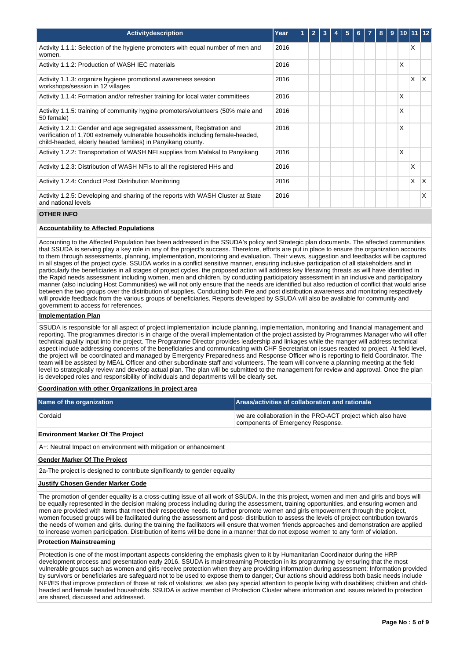| Activitydescription                                                                                                                                                                                                     | Year |  |  | 5 | 6 | 8 | 9 |   |   |   |
|-------------------------------------------------------------------------------------------------------------------------------------------------------------------------------------------------------------------------|------|--|--|---|---|---|---|---|---|---|
| Activity 1.1.1: Selection of the hygiene promoters with equal number of men and<br>women.                                                                                                                               | 2016 |  |  |   |   |   |   |   | X |   |
| Activity 1.1.2: Production of WASH IEC materials                                                                                                                                                                        | 2016 |  |  |   |   |   |   | X |   |   |
| Activity 1.1.3: organize hygiene promotional awareness session<br>workshops/session in 12 villages                                                                                                                      | 2016 |  |  |   |   |   |   |   | X | X |
| Activity 1.1.4: Formation and/or refresher training for local water committees                                                                                                                                          | 2016 |  |  |   |   |   |   | X |   |   |
| Activity 1.1.5: training of community hygine promoters/volunteers (50% male and<br>50 female)                                                                                                                           | 2016 |  |  |   |   |   |   | X |   |   |
| Activity 1.2.1: Gender and age segregated assessment, Registration and<br>verification of 1,700 extremely vulnerable households including female-headed,<br>child-headed, elderly headed families) in Panyikang county. | 2016 |  |  |   |   |   |   | X |   |   |
| Activity 1.2.2: Transportation of WASH NFI supplies from Malakal to Panyikang                                                                                                                                           | 2016 |  |  |   |   |   |   | X |   |   |
| Activity 1.2.3: Distribution of WASH NFIs to all the registered HHs and                                                                                                                                                 | 2016 |  |  |   |   |   |   |   | X |   |
| Activity 1.2.4: Conduct Post Distribution Monitoring                                                                                                                                                                    | 2016 |  |  |   |   |   |   |   | X | X |
| Activity 1.2.5: Developing and sharing of the reports with WASH Cluster at State<br>and national levels                                                                                                                 | 2016 |  |  |   |   |   |   |   |   | X |

### **OTHER INFO**

## **Accountability to Affected Populations**

Accounting to the Affected Population has been addressed in the SSUDA's policy and Strategic plan documents. The affected communities that SSUDA is serving play a key role in any of the project's success. Therefore, efforts are put in place to ensure the organization accounts to them through assessments, planning, implementation, monitoring and evaluation. Their views, suggestion and feedbacks will be captured in all stages of the project cycle. SSUDA works in a conflict sensitive manner, ensuring inclusive participation of all stakeholders and in particularly the beneficiaries in all stages of project cycles. the proposed action will address key lifesaving threats as will have identified in the Rapid needs assessment including women, men and children. by conducting participatory assessment in an inclusive and participatory manner (also including Host Communities) we will not only ensure that the needs are identified but also reduction of conflict that would arise between the two groups over the distribution of supplies. Conducting both Pre and post distribution awareness and monitoring respectively will provide feedback from the various groups of beneficiaries. Reports developed by SSUDA will also be available for community and government to access for references.

### **Implementation Plan**

SSUDA is responsible for all aspect of project implementation include planning, implementation, monitoring and financial management and reporting. The programmes director is in charge of the overall implementation of the project assisted by Programmes Manager who will offer technical quality input into the project. The Programme Director provides leadership and linkages while the manger will address technical aspect include addressing concerns of the beneficiaries and communicating with CHF Secretariat on issues reacted to project. At field level, the project will be coordinated and managed by Emergency Preparedness and Response Officer who is reporting to field Coordinator. The team will be assisted by MEAL Officer and other subordinate staff and volunteers. The team will convene a planning meeting at the field level to strategically review and develop actual plan. The plan will be submitted to the management for review and approval. Once the plan is developed roles and responsibility of individuals and departments will be clearly set.

#### **Coordination with other Organizations in project area**

| Name of the organization | Areas/activities of collaboration and rationale                                                  |
|--------------------------|--------------------------------------------------------------------------------------------------|
| Cordaid                  | we are collaboration in the PRO-ACT project which also have<br>components of Emergency Response. |

### **Environment Marker Of The Project**

A+: Neutral Impact on environment with mitigation or enhancement

#### **Gender Marker Of The Project**

2a-The project is designed to contribute significantly to gender equality

### **Justify Chosen Gender Marker Code**

The promotion of gender equality is a cross-cutting issue of all work of SSUDA. In the this project, women and men and girls and boys will be equally represented in the decision making process including during the assessment, training opportunities, and ensuring women and men are provided with items that meet their respective needs. to further promote women and girls empowerment through the project, women focused groups will be facilitated during the assessment and post- distribution to assess the levels of project contribution towards the needs of women and girls. during the training the facilitators will ensure that women friends approaches and demonstration are applied to increase women participation. Distribution of items will be done in a manner that do not expose women to any form of violation.

## **Protection Mainstreaming**

Protection is one of the most important aspects considering the emphasis given to it by Humanitarian Coordinator during the HRP development process and presentation early 2016. SSUDA is mainstreaming Protection in its programming by ensuring that the most vulnerable groups such as women and girls receive protection when they are providing information during assessment; Information provided by survivors or beneficiaries are safeguard not to be used to expose them to danger; Our actions should address both basic needs include NFI/ES that improve protection of those at risk of violations; we also pay special attention to people living with disabilities; children and childheaded and female headed households. SSUDA is active member of Protection Cluster where information and issues related to protection are shared, discussed and addressed.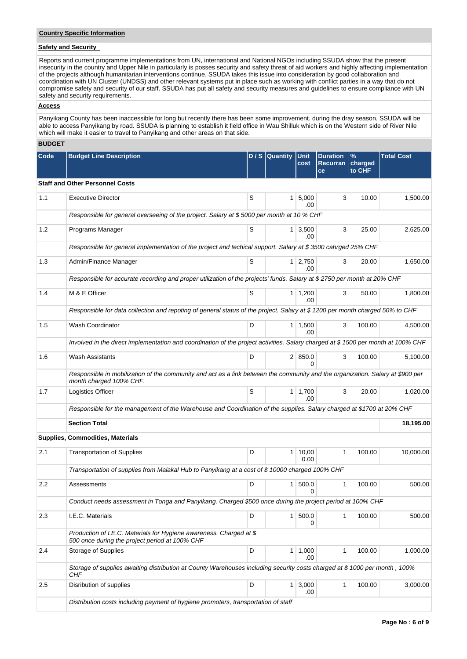## **Country Specific Information**

# **Safety and Security**

Reports and current programme implementations from UN, international and National NGOs including SSUDA show that the present insecurity in the country and Upper Nile in particularly is posses security and safety threat of aid workers and highly affecting implementation of the projects although humanitarian interventions continue. SSUDA takes this issue into consideration by good collaboration and coordination with UN Cluster (UNDSS) and other relevant systems put in place such as working with conflict parties in a way that do not compromise safety and security of our staff. SSUDA has put all safety and security measures and guidelines to ensure compliance with UN safety and security requirements.

### **Access**

Panyikang County has been inaccessible for long but recently there has been some improvement. during the dray season, SSUDA will be able to access Panyikang by road. SSUDA is planning to establish it field office in Wau Shilluk which is on the Western side of River Nile which will make it easier to travel to Panyikang and other areas on that side.

## **BUDGET**

| Code             | <b>Budget Line Description</b>                                                                                                                            |                                          | D / S Quantity | <b>Unit</b><br>cost   | <b>Duration</b><br><b>Recurran</b><br>ce | $\%$<br>charged<br>to CHF | <b>Total Cost</b> |
|------------------|-----------------------------------------------------------------------------------------------------------------------------------------------------------|------------------------------------------|----------------|-----------------------|------------------------------------------|---------------------------|-------------------|
|                  | <b>Staff and Other Personnel Costs</b>                                                                                                                    |                                          |                |                       |                                          |                           |                   |
| 1.1              | <b>Executive Director</b>                                                                                                                                 | S                                        | 1              | 5,000<br>.00          | 3                                        | 10.00                     | 1,500.00          |
|                  | Responsible for general overseeing of the project. Salary at \$5000 per month at 10 % CHF                                                                 |                                          |                |                       |                                          |                           |                   |
| 1.2              | Programs Manager                                                                                                                                          | S<br>3,500<br>3<br>1 <sup>1</sup><br>.00 |                |                       |                                          |                           |                   |
|                  | Responsible for general implementation of the project and techical support. Salary at \$3500 cahrged 25% CHF                                              |                                          |                |                       |                                          |                           |                   |
| 1.3              | Admin/Finance Manager                                                                                                                                     | S                                        |                | $1 \mid 2,750$<br>.00 | 3                                        | 20.00                     | 1,650.00          |
|                  | Responsible for accurate recording and proper utilization of the projects' funds. Salary at \$2750 per month at 20% CHF                                   |                                          |                |                       |                                          |                           |                   |
| 1.4              | M & E Officer                                                                                                                                             | S                                        |                | $1 \mid 1,200$<br>.00 | 3                                        | 50.00                     | 1,800.00          |
|                  | Responsible for data collection and repoting of general status of the project. Salary at \$1200 per month charged 50% to CHF                              |                                          |                |                       |                                          |                           |                   |
| 1.5              | Wash Coordinator                                                                                                                                          | D                                        |                | 1 1.500<br>.00        | 3                                        | 100.00                    | 4,500.00          |
|                  | Involved in the direct implementation and coordination of the project activities. Salary charged at \$1500 per month at 100% CHF                          |                                          |                |                       |                                          |                           |                   |
| 1.6              | Wash Assistants                                                                                                                                           | D                                        |                | 2   850.0             | 3                                        | 100.00                    | 5,100.00          |
|                  | Responsible in mobilization of the community and act as a link between the community and the organization. Salary at \$900 per<br>month charged 100% CHF. |                                          |                |                       |                                          |                           |                   |
| 1.7              | Logistics Officer                                                                                                                                         | S                                        |                | $1 \mid 1,700$<br>.00 | 3                                        | 20.00                     | 1,020.00          |
|                  | Responsible for the management of the Warehouse and Coordination of the supplies. Salary charged at \$1700 at 20% CHF                                     |                                          |                |                       |                                          |                           |                   |
|                  | <b>Section Total</b>                                                                                                                                      |                                          |                |                       |                                          |                           | 18,195.00         |
|                  | <b>Supplies, Commodities, Materials</b>                                                                                                                   |                                          |                |                       |                                          |                           |                   |
| 2.1              | <b>Transportation of Supplies</b>                                                                                                                         | D                                        |                | 1   10,00<br>0.00     | 1                                        | 100.00                    | 10,000.00         |
|                  | Transportation of supplies from Malakal Hub to Panyikang at a cost of \$10000 charged 100% CHF                                                            |                                          |                |                       |                                          |                           |                   |
| $2.2\phantom{0}$ | Assessments                                                                                                                                               | D                                        | 1              | 500.0<br>0            | 1                                        | 100.00                    | 500.00            |
|                  | Conduct needs assessment in Tonga and Panyikang. Charged \$500 once during the project period at 100% CHF                                                 |                                          |                |                       |                                          |                           |                   |
| 2.3              | I.E.C. Materials                                                                                                                                          | D                                        | 1 <sup>1</sup> | 500.0<br>0            | $\mathbf{1}$                             | 100.00                    | 500.00            |
|                  | Production of I.E.C. Materials for Hygiene awareness. Charged at \$<br>500 once during the project period at 100% CHF                                     |                                          |                |                       |                                          |                           |                   |
| 2.4              | Storage of Supplies                                                                                                                                       | D                                        |                | $1 \mid 1,000$<br>.00 | 1                                        | 100.00                    | 1,000.00          |
|                  | Storage of supplies awaiting distribution at County Warehouses including security costs charged at \$1000 per month, 100%<br>CHF                          |                                          |                |                       |                                          |                           |                   |
| 2.5              | Disribution of supplies                                                                                                                                   | D                                        |                | $1 \mid 3,000$<br>.00 | $\mathbf{1}$                             | 100.00                    | 3,000.00          |
|                  | Distribution costs including payment of hygiene promoters, transportation of staff                                                                        |                                          |                |                       |                                          |                           |                   |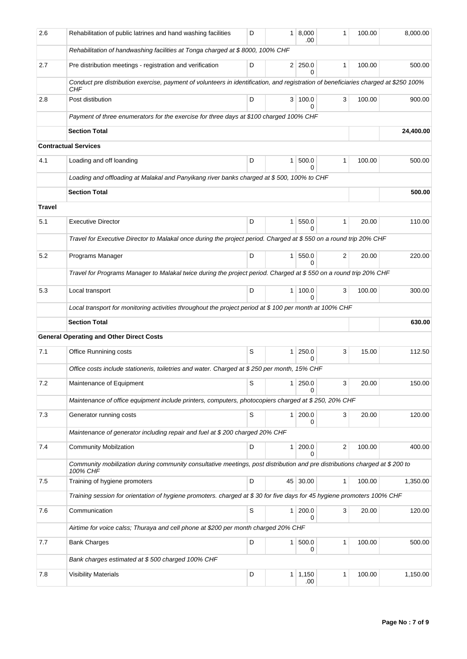| 2.6    | Rehabilitation of public latrines and hand washing facilities                                                                              | D | 1              | 8,000<br>.00               | 1            | 100.00 | 8,000.00  |
|--------|--------------------------------------------------------------------------------------------------------------------------------------------|---|----------------|----------------------------|--------------|--------|-----------|
|        | Rehabilitation of handwashing facilities at Tonga charged at \$8000, 100% CHF                                                              |   |                |                            |              |        |           |
| 2.7    | Pre distribution meetings - registration and verification                                                                                  | D |                | $2 \mid 250.0$<br>$\Omega$ | 1            | 100.00 | 500.00    |
|        | Conduct pre distribution exercise, payment of volunteers in identification, and registration of beneficiaries charged at \$250 100%<br>CHF |   |                |                            |              |        |           |
| 2.8    | Post distibution                                                                                                                           | D |                | 3   100.0<br>0             | 3            | 100.00 | 900.00    |
|        | Payment of three enumerators for the exercise for three days at \$100 charged 100% CHF                                                     |   |                |                            |              |        |           |
|        | <b>Section Total</b>                                                                                                                       |   |                |                            |              |        | 24,400.00 |
|        | <b>Contractual Services</b>                                                                                                                |   |                |                            |              |        |           |
| 4.1    | Loading and off loanding                                                                                                                   | D | $\mathbf{1}$   | 500.0<br>0                 | $\mathbf{1}$ | 100.00 | 500.00    |
|        | Loading and offloading at Malakal and Panyikang river banks charged at \$500, 100% to CHF                                                  |   |                |                            |              |        |           |
|        | <b>Section Total</b>                                                                                                                       |   |                |                            |              |        | 500.00    |
| Travel |                                                                                                                                            |   |                |                            |              |        |           |
| 5.1    | <b>Executive Director</b>                                                                                                                  | D | $\mathbf{1}$   | 550.0<br>$\Omega$          | 1            | 20.00  | 110.00    |
|        | Travel for Executive Director to Malakal once during the project period. Charged at \$550 on a round trip 20% CHF                          |   |                |                            |              |        |           |
| 5.2    | Programs Manager                                                                                                                           | D | 1 <sup>1</sup> | 550.0<br>0                 | 2            | 20.00  | 220.00    |
|        | Travel for Programs Manager to Malakal twice during the project period. Charged at \$550 on a round trip 20% CHF                           |   |                |                            |              |        |           |
| 5.3    | Local transport                                                                                                                            | D | $\mathbf{1}$   | 100.0<br>0                 | 3            | 100.00 | 300.00    |
|        | Local transport for monitoring activities throughout the project period at \$ 100 per month at 100% CHF                                    |   |                |                            |              |        |           |
|        | <b>Section Total</b>                                                                                                                       |   |                |                            |              |        | 630.00    |
|        | <b>General Operating and Other Direct Costs</b>                                                                                            |   |                |                            |              |        |           |
| 7.1    | Office Runnining costs                                                                                                                     | S | $\mathbf{1}$   | 250.0<br>0                 | 3            | 15.00  | 112.50    |
|        | Office costs include stationeris, toiletries and water. Charged at \$250 per month, 15% CHF                                                |   |                |                            |              |        |           |
| 7.2    | Maintenance of Equipment                                                                                                                   | S | 1              | 250.0<br>0                 | 3            | 20.00  | 150.00    |
|        | Maintenance of office equipment include printers, computers, photocopiers charged at \$250, 20% CHF                                        |   |                |                            |              |        |           |
| 7.3    | Generator running costs                                                                                                                    | S | 1 <sup>1</sup> | 200.0<br>0                 | 3            | 20.00  | 120.00    |
|        | Maintenance of generator including repair and fuel at \$200 charged 20% CHF                                                                |   |                |                            |              |        |           |
| 7.4    | <b>Community Mobilzation</b>                                                                                                               | D | 1              | 200.0<br>0                 | 2            | 100.00 | 400.00    |
|        | Community mobilization during community consultative meetings, post distribution and pre distributions charged at \$200 to<br>100% CHF     |   |                |                            |              |        |           |
| 7.5    | Training of hygiene promoters                                                                                                              | D |                | 45 30.00                   | 1            | 100.00 | 1,350.00  |
|        | Training session for orientation of hygiene promoters. charged at \$30 for five days for 45 hygiene promoters 100% CHF                     |   |                |                            |              |        |           |
| 7.6    | Communication                                                                                                                              | S | 1              | 200.0<br>0                 | 3            | 20.00  | 120.00    |
|        |                                                                                                                                            |   |                |                            |              |        |           |
|        | Airtime for voice calss; Thuraya and cell phone at \$200 per month charged 20% CHF                                                         |   |                |                            |              |        |           |
| 7.7    | <b>Bank Charges</b>                                                                                                                        | D | $\mathbf{1}$   | 500.0                      | $\mathbf{1}$ | 100.00 | 500.00    |
|        | Bank charges estimated at \$500 charged 100% CHF                                                                                           |   |                | 0                          |              |        |           |